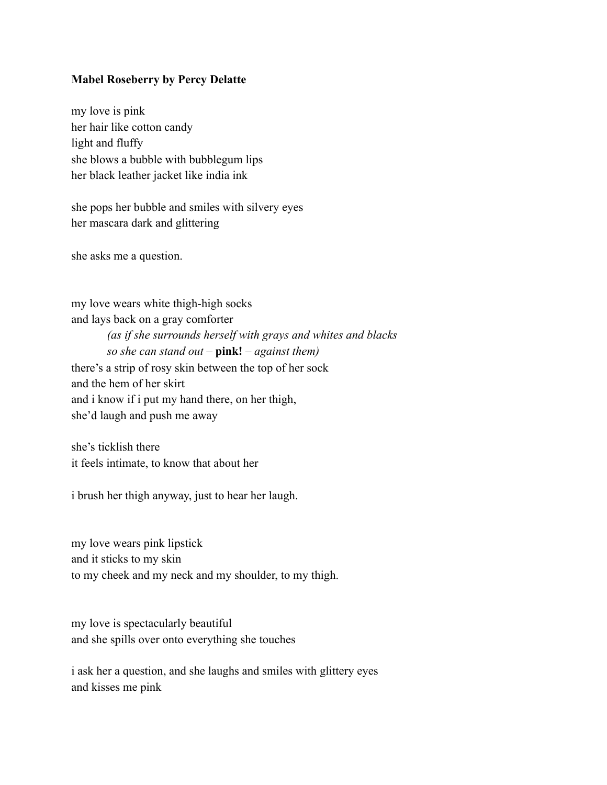## **Mabel Roseberry by Percy Delatte**

my love is pink her hair like cotton candy light and fluffy she blows a bubble with bubblegum lips her black leather jacket like india ink

she pops her bubble and smiles with silvery eyes her mascara dark and glittering

she asks me a question.

my love wears white thigh-high socks and lays back on a gray comforter *(as if she surrounds herself with grays and whites and blacks so she can stand out* – **pink!** – *against them)* there's a strip of rosy skin between the top of her sock and the hem of her skirt and i know if i put my hand there, on her thigh, she'd laugh and push me away

she's ticklish there it feels intimate, to know that about her

i brush her thigh anyway, just to hear her laugh.

my love wears pink lipstick and it sticks to my skin to my cheek and my neck and my shoulder, to my thigh.

my love is spectacularly beautiful and she spills over onto everything she touches

i ask her a question, and she laughs and smiles with glittery eyes and kisses me pink